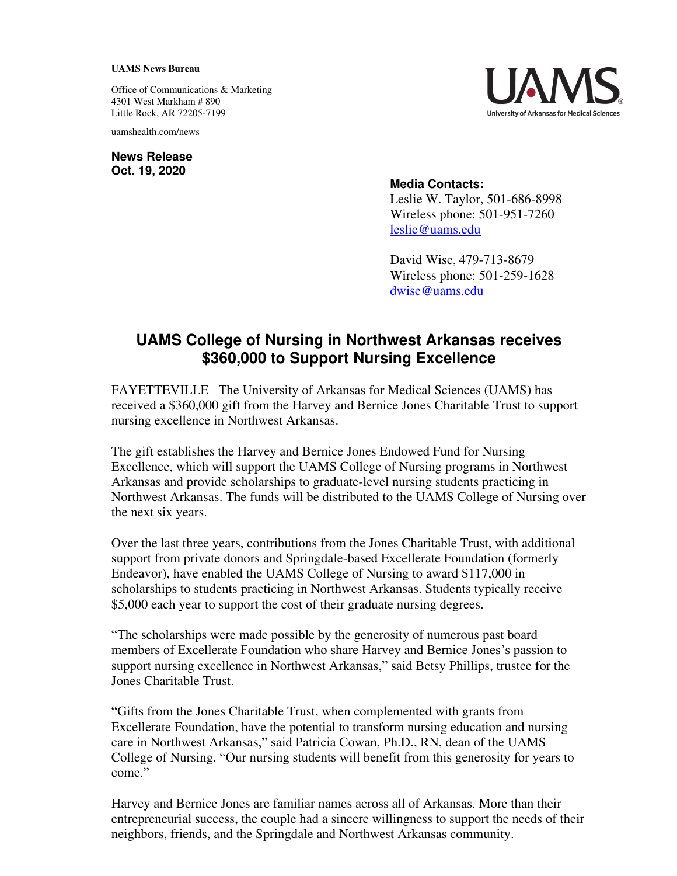## **UAMS News Bureau**

Office of Communications & Marketing 4301 West Markham # 890 Little Rock, AR 72205-7199

uamshealth.com/news

**News Release Oct. 19, 2020**



## **Media Contacts:**

Leslie W. Taylor, 501-686-8998 Wireless phone: 501-951-7260 [leslie@uams.edu](mailto:leslie@uams.edu)

David Wise, 479-713-8679 Wireless phone: 501-259-1628 [dwise@uams.edu](mailto:dwise@uams.edu)

## **UAMS College of Nursing in Northwest Arkansas receives \$360,000 to Support Nursing Excellence**

FAYETTEVILLE –The University of Arkansas for Medical Sciences (UAMS) has received a \$360,000 gift from the Harvey and Bernice Jones Charitable Trust to support nursing excellence in Northwest Arkansas.

The gift establishes the Harvey and Bernice Jones Endowed Fund for Nursing Excellence, which will support the UAMS College of Nursing programs in Northwest Arkansas and provide scholarships to graduate-level nursing students practicing in Northwest Arkansas. The funds will be distributed to the UAMS College of Nursing over the next six years.

Over the last three years, contributions from the Jones Charitable Trust, with additional support from private donors and Springdale-based Excellerate Foundation (formerly Endeavor), have enabled the UAMS College of Nursing to award \$117,000 in scholarships to students practicing in Northwest Arkansas. Students typically receive \$5,000 each year to support the cost of their graduate nursing degrees.

"The scholarships were made possible by the generosity of numerous past board members of Excellerate Foundation who share Harvey and Bernice Jones's passion to support nursing excellence in Northwest Arkansas," said Betsy Phillips, trustee for the Jones Charitable Trust.

"Gifts from the Jones Charitable Trust, when complemented with grants from Excellerate Foundation, have the potential to transform nursing education and nursing care in Northwest Arkansas," said Patricia Cowan, Ph.D., RN, dean of the UAMS College of Nursing. "Our nursing students will benefit from this generosity for years to come."

Harvey and Bernice Jones are familiar names across all of Arkansas. More than their entrepreneurial success, the couple had a sincere willingness to support the needs of their neighbors, friends, and the Springdale and Northwest Arkansas community.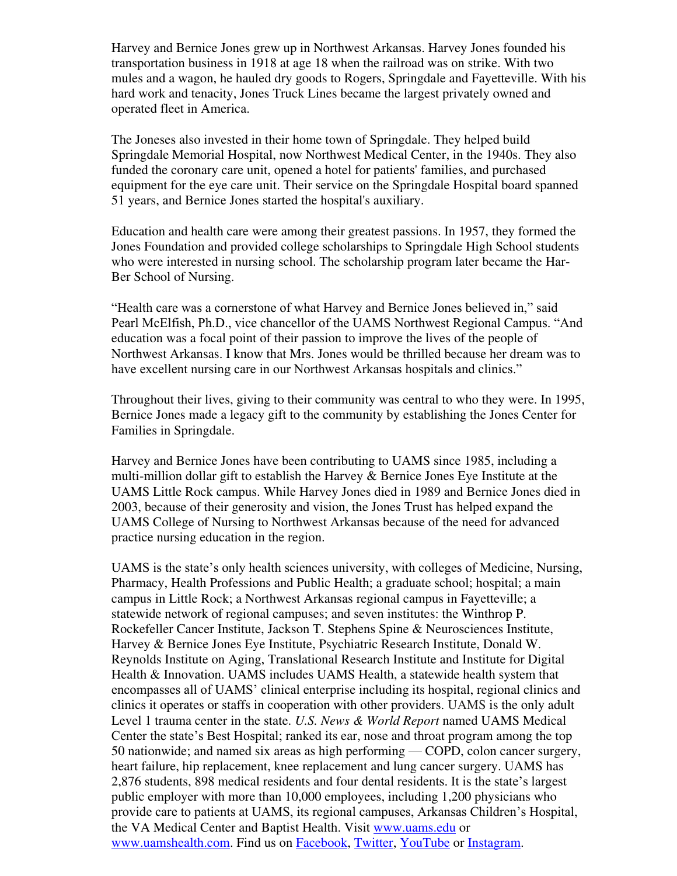Harvey and Bernice Jones grew up in Northwest Arkansas. Harvey Jones founded his transportation business in 1918 at age 18 when the railroad was on strike. With two mules and a wagon, he hauled dry goods to Rogers, Springdale and Fayetteville. With his hard work and tenacity, Jones Truck Lines became the largest privately owned and operated fleet in America.

The Joneses also invested in their home town of Springdale. They helped build Springdale Memorial Hospital, now Northwest Medical Center, in the 1940s. They also funded the coronary care unit, opened a hotel for patients' families, and purchased equipment for the eye care unit. Their service on the Springdale Hospital board spanned 51 years, and Bernice Jones started the hospital's auxiliary.

Education and health care were among their greatest passions. In 1957, they formed the Jones Foundation and provided college scholarships to Springdale High School students who were interested in nursing school. The scholarship program later became the Har-Ber School of Nursing.

"Health care was a cornerstone of what Harvey and Bernice Jones believed in," said Pearl McElfish, Ph.D., vice chancellor of the UAMS Northwest Regional Campus. "And education was a focal point of their passion to improve the lives of the people of Northwest Arkansas. I know that Mrs. Jones would be thrilled because her dream was to have excellent nursing care in our Northwest Arkansas hospitals and clinics."

Throughout their lives, giving to their community was central to who they were. In 1995, Bernice Jones made a legacy gift to the community by establishing the Jones Center for Families in Springdale.

Harvey and Bernice Jones have been contributing to UAMS since 1985, including a multi-million dollar gift to establish the Harvey & Bernice Jones Eye Institute at the UAMS Little Rock campus. While Harvey Jones died in 1989 and Bernice Jones died in 2003, because of their generosity and vision, the Jones Trust has helped expand the UAMS College of Nursing to Northwest Arkansas because of the need for advanced practice nursing education in the region.

UAMS is the state's only health sciences university, with colleges of Medicine, Nursing, Pharmacy, Health Professions and Public Health; a graduate school; hospital; a main campus in Little Rock; a Northwest Arkansas regional campus in Fayetteville; a statewide network of regional campuses; and seven institutes: the Winthrop P. Rockefeller Cancer Institute, Jackson T. Stephens Spine & Neurosciences Institute, Harvey & Bernice Jones Eye Institute, Psychiatric Research Institute, Donald W. Reynolds Institute on Aging, Translational Research Institute and Institute for Digital Health & Innovation. UAMS includes UAMS Health, a statewide health system that encompasses all of UAMS' clinical enterprise including its hospital, regional clinics and clinics it operates or staffs in cooperation with other providers. UAMS is the only adult Level 1 trauma center in the state. *U.S. News & World Report* named UAMS Medical Center the state's Best Hospital; ranked its ear, nose and throat program among the top 50 nationwide; and named six areas as high performing — COPD, colon cancer surgery, heart failure, hip replacement, knee replacement and lung cancer surgery. UAMS has 2,876 students, 898 medical residents and four dental residents. It is the state's largest public employer with more than 10,000 employees, including 1,200 physicians who provide care to patients at UAMS, its regional campuses, Arkansas Children's Hospital, the VA Medical Center and Baptist Health. Visit [www.uams.edu](http://www.uams.edu/) or [www.uamshealth.com.](http://www.uamshealth.com/) Find us on [Facebook,](https://www.facebook.com/UAMShealth) [Twitter,](https://twitter.com/uamshealth) [YouTube](https://www.youtube.com/user/UAMSHealth) or [Instagram.](https://instagram.com/uamshealth/)